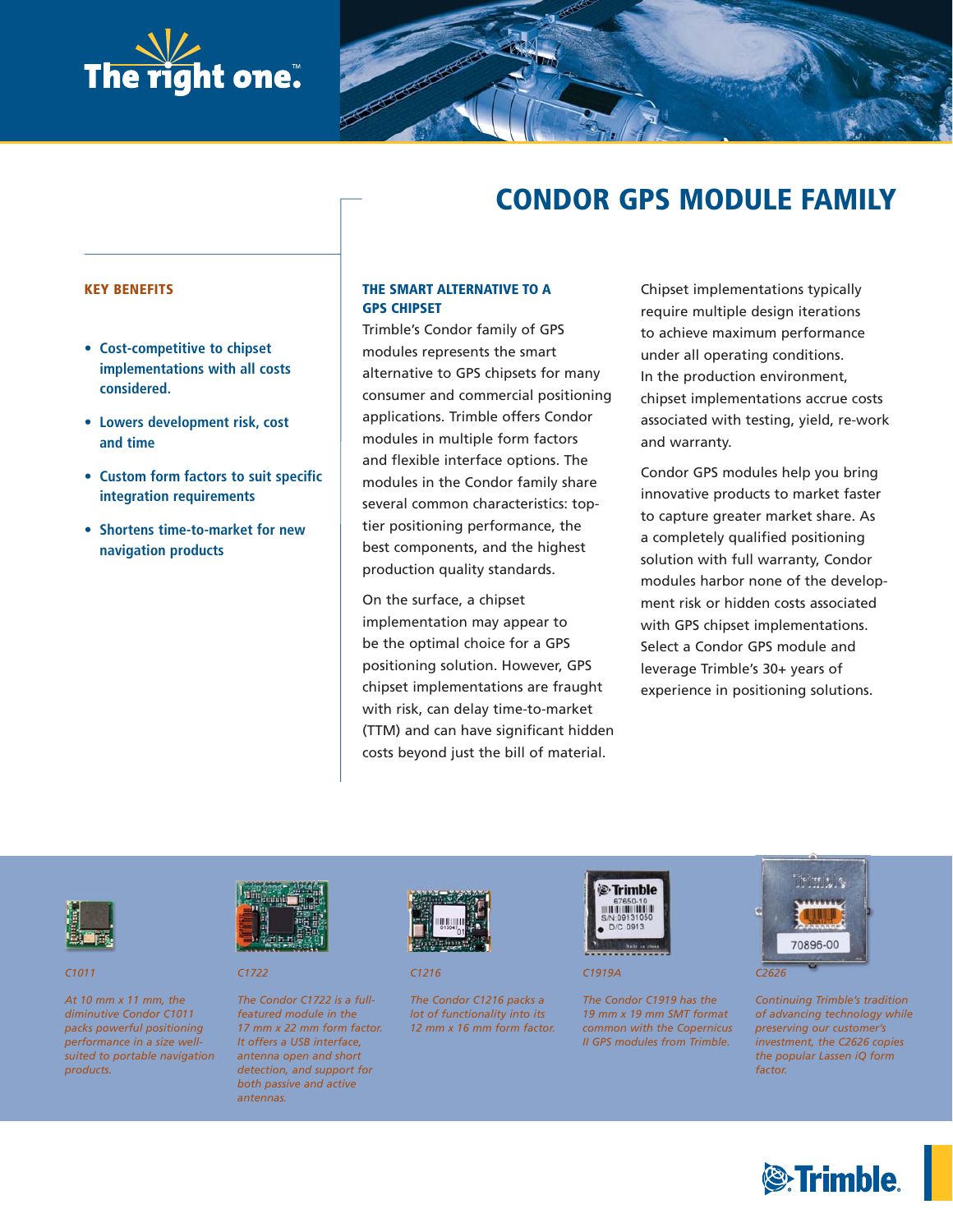

# **CONDOR GPS MODULE FAMILY**

#### **KEY BENEFITS**

- **Cost-competitive to chipset implementations with all costs considered.**
- **Lowers development risk, cost and time**
- **Custom form factors to suit specific integration requirements**
- **Shortens time-to-market for new navigation products**

# **THE SMART ALTERNATIVE TO A GPS CHIPSET**

Trimble's Condor family of GPS modules represents the smart alternative to GPS chipsets for many consumer and commercial positioning applications. Trimble offers Condor modules in multiple form factors and flexible interface options. The modules in the Condor family share several common characteristics: toptier positioning performance, the best components, and the highest production quality standards.

On the surface, a chipset implementation may appear to be the optimal choice for a GPS positioning solution. However, GPS chipset implementations are fraught with risk, can delay time-to-market (TTM) and can have significant hidden costs beyond just the bill of material.

Chipset implementations typically require multiple design iterations to achieve maximum performance under all operating conditions. In the production environment, chipset implementations accrue costs associated with testing, yield, re-work and warranty.

Condor GPS modules help you bring innovative products to market faster to capture greater market share. As a completely qualified positioning solution with full warranty, Condor modules harbor none of the development risk or hidden costs associated with GPS chipset implementations. Select a Condor GPS module and leverage Trimble's 30+ years of experience in positioning solutions.



*C1011*

*At 10 mm x 11 mm, the diminutive Condor C1011 packs powerful positioning performance in a size wellsuited to portable navigation products.*



*C1722*

*The Condor C1722 is a fullfeatured module in the 17 mm x 22 mm form factor. It offers a USB interface, antenna open and short detection, and support for both passive and active antennas.*



*C1216*

*The Condor C1216 packs a lot of functionality into its 12 mm x 16 mm form factor.* 



*C1919A*

*The Condor C1919 has the 19 mm x 19 mm SMT format common with the Copernicus II GPS modules from Trimble.*



*Continuing Trimble's tradition of advancing technology while preserving our customer's investment, the C2626 copies the popular Lassen iQ form factor.*